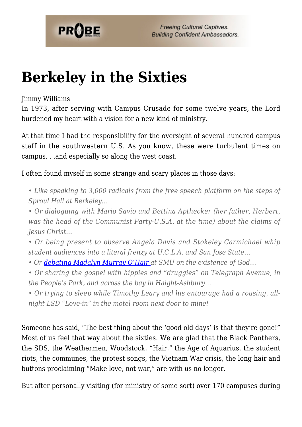

## **[Berkeley in the Sixties](https://probe.org/berkeley-in-the-sixties/)**

## Jimmy Williams

In 1973, after serving with Campus Crusade for some twelve years, the Lord burdened my heart with a vision for a new kind of ministry.

At that time I had the responsibility for the oversight of several hundred campus staff in the southwestern U.S. As you know, these were turbulent times on campus. . .and especially so along the west coast.

I often found myself in some strange and scary places in those days:

*• Like speaking to 3,000 radicals from the free speech platform on the steps of Sproul Hall at Berkeley…*

*• Or dialoguing with Mario Savio and Bettina Apthecker (her father, Herbert, was the head of the Communist Party-U.S.A. at the time) about the claims of Jesus Christ…*

*• Or being present to observe Angela Davis and Stokeley Carmichael whip student audiences into a literal frenzy at U.C.L.A. and San Jose State…*

*• Or [debating Madalyn Murray O'Hair](https://www.probe.org/jimmy-williams-recalls-debate-with-madalyn-murray-ohair-at-smu/) at SMU on the existence of God…*

*• Or sharing the gospel with hippies and "druggies" on Telegraph Avenue, in the People's Park, and across the bay in Haight-Ashbury…*

*• Or trying to sleep while Timothy Leary and his entourage had a rousing, allnight LSD "Love-in" in the motel room next door to mine!*

Someone has said, "The best thing about the 'good old days' is that they're gone!" Most of us feel that way about the sixties. We are glad that the Black Panthers, the SDS, the Weathermen, Woodstock, "Hair," the Age of Aquarius, the student riots, the communes, the protest songs, the Vietnam War crisis, the long hair and buttons proclaiming "Make love, not war," are with us no longer.

But after personally visiting (for ministry of some sort) over 170 campuses during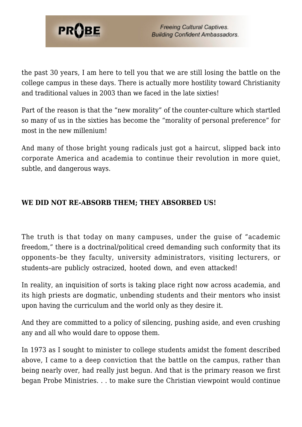

the past 30 years, I am here to tell you that we are still losing the battle on the college campus in these days. There is actually more hostility toward Christianity and traditional values in 2003 than we faced in the late sixties!

Part of the reason is that the "new morality" of the counter-culture which startled so many of us in the sixties has become the "morality of personal preference" for most in the new millenium!

And many of those bright young radicals just got a haircut, slipped back into corporate America and academia to continue their revolution in more quiet, subtle, and dangerous ways.

## **WE DID NOT RE-ABSORB THEM; THEY ABSORBED US!**

The truth is that today on many campuses, under the guise of "academic freedom," there is a doctrinal/political creed demanding such conformity that its opponents–be they faculty, university administrators, visiting lecturers, or students–are publicly ostracized, hooted down, and even attacked!

In reality, an inquisition of sorts is taking place right now across academia, and its high priests are dogmatic, unbending students and their mentors who insist upon having the curriculum and the world only as they desire it.

And they are committed to a policy of silencing, pushing aside, and even crushing any and all who would dare to oppose them.

In 1973 as I sought to minister to college students amidst the foment described above, I came to a deep conviction that the battle on the campus, rather than being nearly over, had really just begun. And that is the primary reason we first began Probe Ministries. . . to make sure the Christian viewpoint would continue